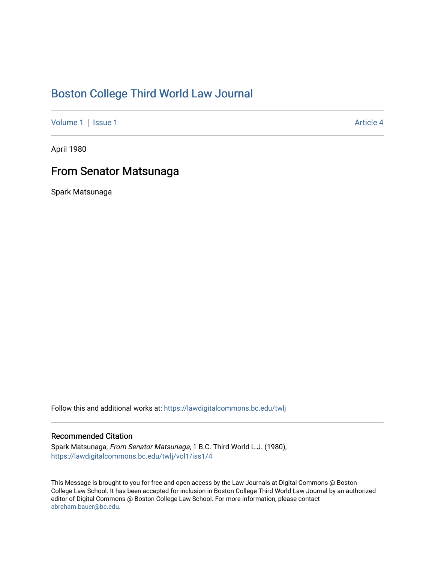## [Boston College Third World Law Journal](https://lawdigitalcommons.bc.edu/twlj)

[Volume 1](https://lawdigitalcommons.bc.edu/twlj/vol1) | [Issue 1](https://lawdigitalcommons.bc.edu/twlj/vol1/iss1) Article 4

April 1980

## From Senator Matsunaga

Spark Matsunaga

Follow this and additional works at: [https://lawdigitalcommons.bc.edu/twlj](https://lawdigitalcommons.bc.edu/twlj?utm_source=lawdigitalcommons.bc.edu%2Ftwlj%2Fvol1%2Fiss1%2F4&utm_medium=PDF&utm_campaign=PDFCoverPages) 

## Recommended Citation

Spark Matsunaga, From Senator Matsunaga, 1 B.C. Third World L.J. (1980), [https://lawdigitalcommons.bc.edu/twlj/vol1/iss1/4](https://lawdigitalcommons.bc.edu/twlj/vol1/iss1/4?utm_source=lawdigitalcommons.bc.edu%2Ftwlj%2Fvol1%2Fiss1%2F4&utm_medium=PDF&utm_campaign=PDFCoverPages) 

This Message is brought to you for free and open access by the Law Journals at Digital Commons @ Boston College Law School. It has been accepted for inclusion in Boston College Third World Law Journal by an authorized editor of Digital Commons @ Boston College Law School. For more information, please contact [abraham.bauer@bc.edu.](mailto:abraham.bauer@bc.edu)